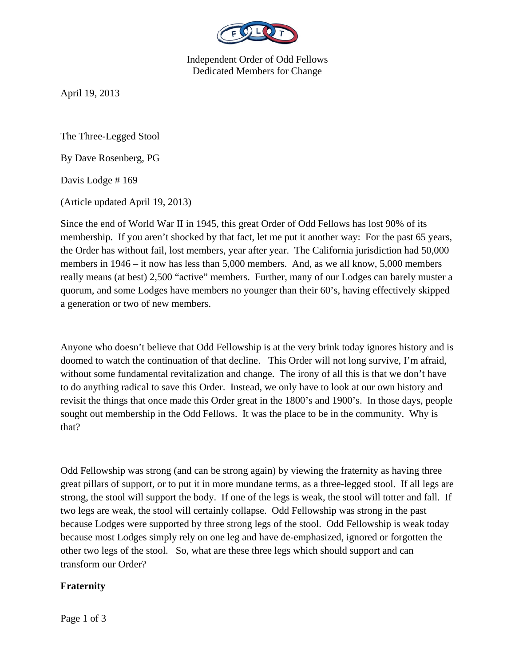

Independent Order of Odd Fellows Dedicated Members for Change

April 19, 2013

The Three-Legged Stool

By Dave Rosenberg, PG

Davis Lodge # 169

(Article updated April 19, 2013)

Since the end of World War II in 1945, this great Order of Odd Fellows has lost 90% of its membership. If you aren't shocked by that fact, let me put it another way: For the past 65 years, the Order has without fail, lost members, year after year. The California jurisdiction had 50,000 members in 1946 – it now has less than 5,000 members. And, as we all know, 5,000 members really means (at best) 2,500 "active" members. Further, many of our Lodges can barely muster a quorum, and some Lodges have members no younger than their 60's, having effectively skipped a generation or two of new members.

Anyone who doesn't believe that Odd Fellowship is at the very brink today ignores history and is doomed to watch the continuation of that decline. This Order will not long survive, I'm afraid, without some fundamental revitalization and change. The irony of all this is that we don't have to do anything radical to save this Order. Instead, we only have to look at our own history and revisit the things that once made this Order great in the 1800's and 1900's. In those days, people sought out membership in the Odd Fellows. It was the place to be in the community. Why is that?

Odd Fellowship was strong (and can be strong again) by viewing the fraternity as having three great pillars of support, or to put it in more mundane terms, as a three-legged stool. If all legs are strong, the stool will support the body. If one of the legs is weak, the stool will totter and fall. If two legs are weak, the stool will certainly collapse. Odd Fellowship was strong in the past because Lodges were supported by three strong legs of the stool. Odd Fellowship is weak today because most Lodges simply rely on one leg and have de-emphasized, ignored or forgotten the other two legs of the stool. So, what are these three legs which should support and can transform our Order?

## **Fraternity**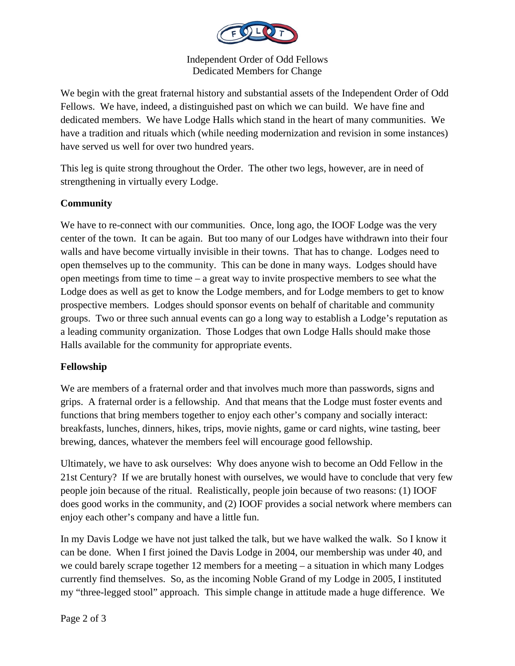

Independent Order of Odd Fellows Dedicated Members for Change

We begin with the great fraternal history and substantial assets of the Independent Order of Odd Fellows. We have, indeed, a distinguished past on which we can build. We have fine and dedicated members. We have Lodge Halls which stand in the heart of many communities. We have a tradition and rituals which (while needing modernization and revision in some instances) have served us well for over two hundred years.

This leg is quite strong throughout the Order. The other two legs, however, are in need of strengthening in virtually every Lodge.

## **Community**

We have to re-connect with our communities. Once, long ago, the IOOF Lodge was the very center of the town. It can be again. But too many of our Lodges have withdrawn into their four walls and have become virtually invisible in their towns. That has to change. Lodges need to open themselves up to the community. This can be done in many ways. Lodges should have open meetings from time to time – a great way to invite prospective members to see what the Lodge does as well as get to know the Lodge members, and for Lodge members to get to know prospective members. Lodges should sponsor events on behalf of charitable and community groups. Two or three such annual events can go a long way to establish a Lodge's reputation as a leading community organization. Those Lodges that own Lodge Halls should make those Halls available for the community for appropriate events.

## **Fellowship**

We are members of a fraternal order and that involves much more than passwords, signs and grips. A fraternal order is a fellowship. And that means that the Lodge must foster events and functions that bring members together to enjoy each other's company and socially interact: breakfasts, lunches, dinners, hikes, trips, movie nights, game or card nights, wine tasting, beer brewing, dances, whatever the members feel will encourage good fellowship.

Ultimately, we have to ask ourselves: Why does anyone wish to become an Odd Fellow in the 21st Century? If we are brutally honest with ourselves, we would have to conclude that very few people join because of the ritual. Realistically, people join because of two reasons: (1) IOOF does good works in the community, and (2) IOOF provides a social network where members can enjoy each other's company and have a little fun.

In my Davis Lodge we have not just talked the talk, but we have walked the walk. So I know it can be done. When I first joined the Davis Lodge in 2004, our membership was under 40, and we could barely scrape together 12 members for a meeting – a situation in which many Lodges currently find themselves. So, as the incoming Noble Grand of my Lodge in 2005, I instituted my "three-legged stool" approach. This simple change in attitude made a huge difference. We